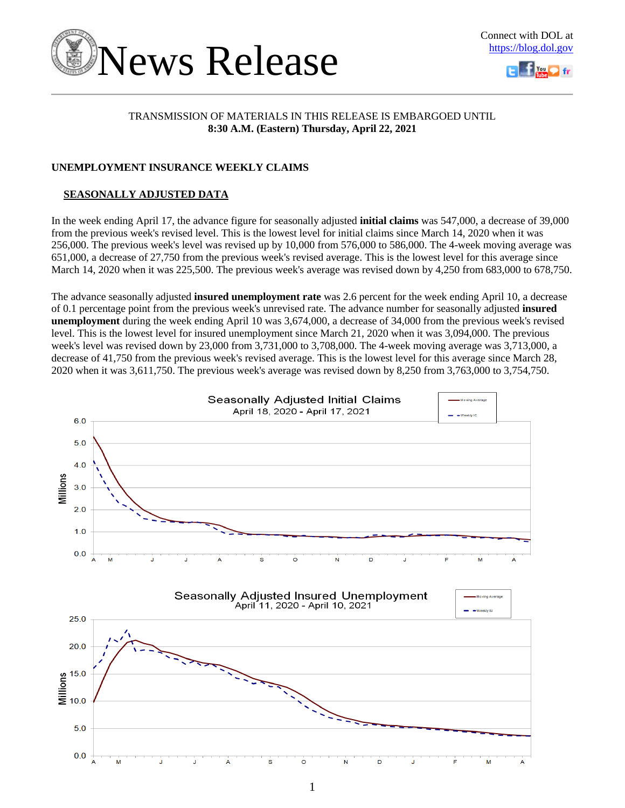



### TRANSMISSION OF MATERIALS IN THIS RELEASE IS EMBARGOED UNTIL **8:30 A.M. (Eastern) Thursday, April 22, 2021**

### **UNEMPLOYMENT INSURANCE WEEKLY CLAIMS**

### **SEASONALLY ADJUSTED DATA**

In the week ending April 17, the advance figure for seasonally adjusted **initial claims** was 547,000, a decrease of 39,000 from the previous week's revised level. This is the lowest level for initial claims since March 14, 2020 when it was 256,000. The previous week's level was revised up by 10,000 from 576,000 to 586,000. The 4-week moving average was 651,000, a decrease of 27,750 from the previous week's revised average. This is the lowest level for this average since March 14, 2020 when it was 225,500. The previous week's average was revised down by 4,250 from 683,000 to 678,750.

The advance seasonally adjusted **insured unemployment rate** was 2.6 percent for the week ending April 10, a decrease of 0.1 percentage point from the previous week's unrevised rate. The advance number for seasonally adjusted **insured unemployment** during the week ending April 10 was 3,674,000, a decrease of 34,000 from the previous week's revised level. This is the lowest level for insured unemployment since March 21, 2020 when it was 3,094,000. The previous week's level was revised down by 23,000 from 3,731,000 to 3,708,000. The 4-week moving average was 3,713,000, a decrease of 41,750 from the previous week's revised average. This is the lowest level for this average since March 28, 2020 when it was 3,611,750. The previous week's average was revised down by 8,250 from 3,763,000 to 3,754,750.

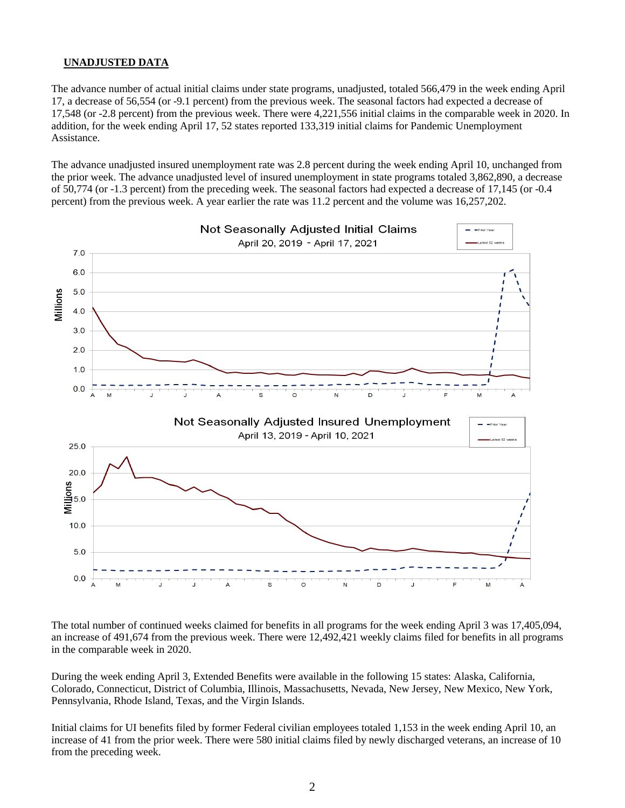### **UNADJUSTED DATA**

The advance number of actual initial claims under state programs, unadjusted, totaled 566,479 in the week ending April 17, a decrease of 56,554 (or -9.1 percent) from the previous week. The seasonal factors had expected a decrease of 17,548 (or -2.8 percent) from the previous week. There were 4,221,556 initial claims in the comparable week in 2020. In addition, for the week ending April 17, 52 states reported 133,319 initial claims for Pandemic Unemployment Assistance.

The advance unadjusted insured unemployment rate was 2.8 percent during the week ending April 10, unchanged from the prior week. The advance unadjusted level of insured unemployment in state programs totaled 3,862,890, a decrease of 50,774 (or -1.3 percent) from the preceding week. The seasonal factors had expected a decrease of 17,145 (or -0.4 percent) from the previous week. A year earlier the rate was 11.2 percent and the volume was 16,257,202.



The total number of continued weeks claimed for benefits in all programs for the week ending April 3 was 17,405,094, an increase of 491,674 from the previous week. There were 12,492,421 weekly claims filed for benefits in all programs in the comparable week in 2020.

During the week ending April 3, Extended Benefits were available in the following 15 states: Alaska, California, Colorado, Connecticut, District of Columbia, Illinois, Massachusetts, Nevada, New Jersey, New Mexico, New York, Pennsylvania, Rhode Island, Texas, and the Virgin Islands.

Initial claims for UI benefits filed by former Federal civilian employees totaled 1,153 in the week ending April 10, an increase of 41 from the prior week. There were 580 initial claims filed by newly discharged veterans, an increase of 10 from the preceding week.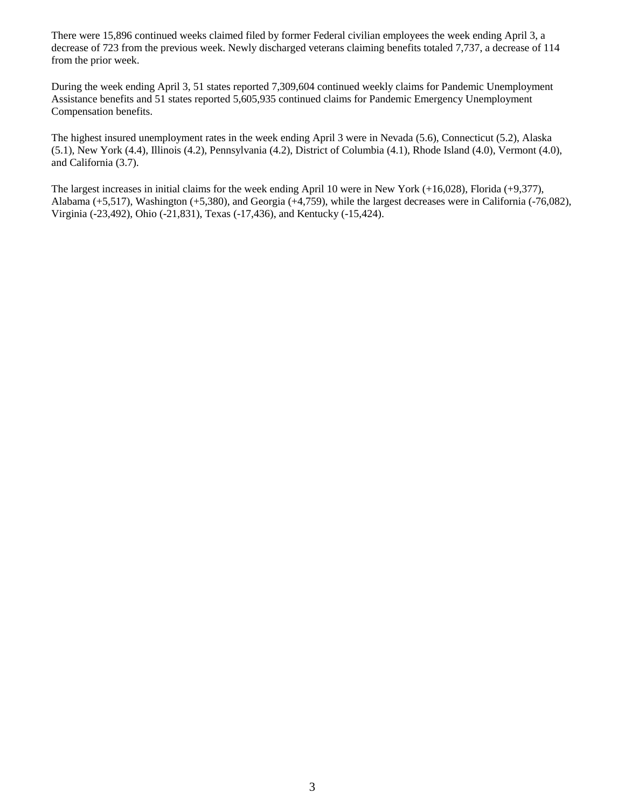There were 15,896 continued weeks claimed filed by former Federal civilian employees the week ending April 3, a decrease of 723 from the previous week. Newly discharged veterans claiming benefits totaled 7,737, a decrease of 114 from the prior week.

During the week ending April 3, 51 states reported 7,309,604 continued weekly claims for Pandemic Unemployment Assistance benefits and 51 states reported 5,605,935 continued claims for Pandemic Emergency Unemployment Compensation benefits.

The highest insured unemployment rates in the week ending April 3 were in Nevada (5.6), Connecticut (5.2), Alaska (5.1), New York (4.4), Illinois (4.2), Pennsylvania (4.2), District of Columbia (4.1), Rhode Island (4.0), Vermont (4.0), and California (3.7).

The largest increases in initial claims for the week ending April 10 were in New York (+16,028), Florida (+9,377), Alabama (+5,517), Washington (+5,380), and Georgia (+4,759), while the largest decreases were in California (-76,082), Virginia (-23,492), Ohio (-21,831), Texas (-17,436), and Kentucky (-15,424).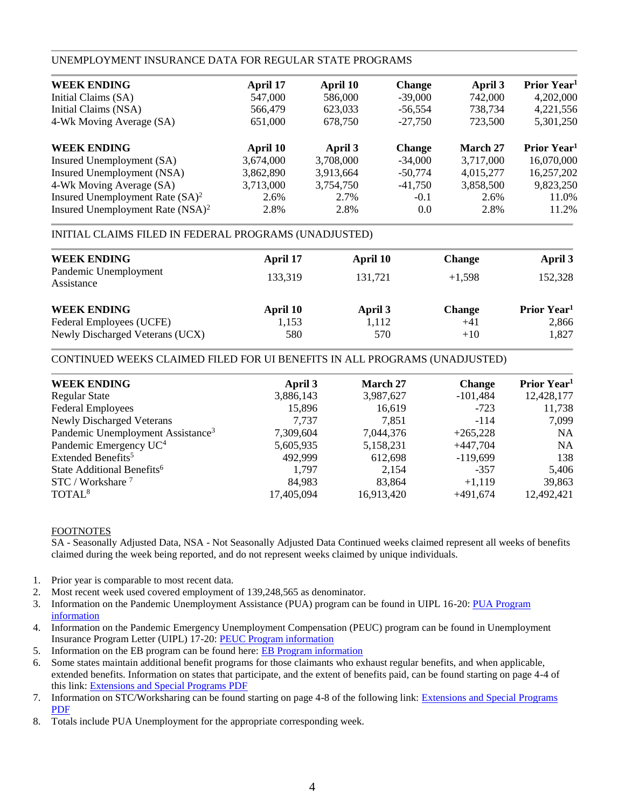### UNEMPLOYMENT INSURANCE DATA FOR REGULAR STATE PROGRAMS

| April 17  | April 10  | <b>Change</b> | April 3   | Prior Year <sup>1</sup> |
|-----------|-----------|---------------|-----------|-------------------------|
| 547,000   | 586,000   | $-39,000$     | 742,000   | 4,202,000               |
| 566,479   | 623,033   | $-56,554$     | 738,734   | 4,221,556               |
| 651,000   | 678,750   | $-27.750$     | 723,500   | 5,301,250               |
| April 10  | April 3   | <b>Change</b> | March 27  | Prior Year <sup>1</sup> |
| 3,674,000 | 3,708,000 | $-34,000$     | 3,717,000 | 16,070,000              |
| 3,862,890 | 3,913,664 | $-50,774$     | 4,015,277 | 16,257,202              |
| 3,713,000 | 3,754,750 | $-41,750$     | 3,858,500 | 9,823,250               |
| 2.6%      | 2.7%      | $-0.1$        | 2.6%      | 11.0%                   |
| 2.8%      | 2.8%      | 0.0           | 2.8%      | 11.2%                   |
|           |           |               |           |                         |

### INITIAL CLAIMS FILED IN FEDERAL PROGRAMS (UNADJUSTED)

| <b>WEEK ENDING</b>                  | April 17 | April 10 | <b>Change</b> | April 3                 |
|-------------------------------------|----------|----------|---------------|-------------------------|
| Pandemic Unemployment<br>Assistance | 133.319  | 131.721  | $+1.598$      | 152,328                 |
| <b>WEEK ENDING</b>                  | April 10 | April 3  | <b>Change</b> | Prior Year <sup>1</sup> |
| Federal Employees (UCFE)            | 1,153    | 1,112    | $+41$         | 2,866                   |
| Newly Discharged Veterans (UCX)     | 580      | 570      | $+10$         | 1,827                   |

### CONTINUED WEEKS CLAIMED FILED FOR UI BENEFITS IN ALL PROGRAMS (UNADJUSTED)

| <b>WEEK ENDING</b>                            | April 3    | <b>March 27</b> | <b>Change</b> | Prior Year <sup>1</sup> |
|-----------------------------------------------|------------|-----------------|---------------|-------------------------|
| <b>Regular State</b>                          | 3,886,143  | 3,987,627       | $-101,484$    | 12,428,177              |
| <b>Federal Employees</b>                      | 15,896     | 16,619          | $-723$        | 11,738                  |
| <b>Newly Discharged Veterans</b>              | 7.737      | 7.851           | $-114$        | 7,099                   |
| Pandemic Unemployment Assistance <sup>3</sup> | 7,309,604  | 7,044,376       | $+265,228$    | <b>NA</b>               |
| Pandemic Emergency UC <sup>4</sup>            | 5,605,935  | 5,158,231       | $+447,704$    | <b>NA</b>               |
| Extended Benefits <sup>5</sup>                | 492.999    | 612,698         | $-119,699$    | 138                     |
| State Additional Benefits <sup>6</sup>        | 1,797      | 2,154           | $-357$        | 5,406                   |
| $STC / Workshare$ <sup>7</sup>                | 84,983     | 83.864          | $+1,119$      | 39,863                  |
| TOTAL <sup>8</sup>                            | 17,405,094 | 16,913,420      | $+491,674$    | 12,492,421              |
|                                               |            |                 |               |                         |

### FOOTNOTES

SA - Seasonally Adjusted Data, NSA - Not Seasonally Adjusted Data Continued weeks claimed represent all weeks of benefits claimed during the week being reported, and do not represent weeks claimed by unique individuals.

- 1. Prior year is comparable to most recent data.
- 2. Most recent week used covered employment of 139,248,565 as denominator.
- 3. Information on the Pandemic Unemployment Assistance (PUA) program can be found in UIPL 16-20: PUA Program [information](https://wdr.doleta.gov/directives/corr_doc.cfm?DOCN=4628)
- 4. Information on the Pandemic Emergency Unemployment Compensation (PEUC) program can be found in Unemployment Insurance Program Letter (UIPL) 17-20: [PEUC Program information](https://wdr.doleta.gov/directives/corr_doc.cfm?DOCN=8452)
- 5. Information on the EB program can be found here: **EB Program information**
- 6. Some states maintain additional benefit programs for those claimants who exhaust regular benefits, and when applicable, extended benefits. Information on states that participate, and the extent of benefits paid, can be found starting on page 4-4 of this link: [Extensions and Special Programs PDF](https://oui.doleta.gov/unemploy/pdf/uilawcompar/2020/special.pdf#page=4)
- 7. Information on STC/Worksharing can be found starting on page 4-8 of the following link: [Extensions and Special Programs](https://oui.doleta.gov/unemploy/pdf/uilawcompar/2019/special.pdf#page=8)  [PDF](https://oui.doleta.gov/unemploy/pdf/uilawcompar/2019/special.pdf#page=8)
- 8. Totals include PUA Unemployment for the appropriate corresponding week.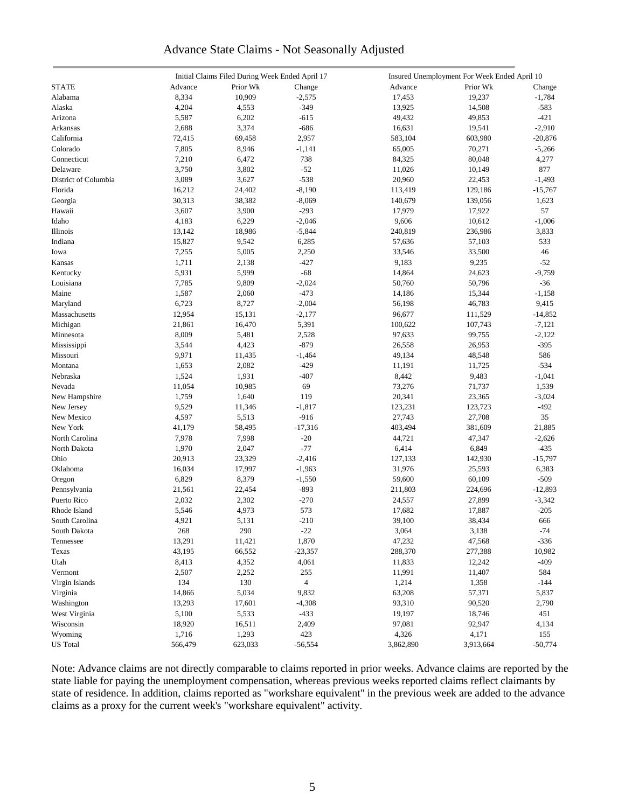### Advance State Claims - Not Seasonally Adjusted

|                      |         | Initial Claims Filed During Week Ended April 17 |                |           | Insured Unemployment For Week Ended April 10 |           |
|----------------------|---------|-------------------------------------------------|----------------|-----------|----------------------------------------------|-----------|
| <b>STATE</b>         | Advance | Prior Wk                                        | Change         | Advance   | Prior Wk                                     | Change    |
| Alabama              | 8,334   | 10,909                                          | $-2,575$       | 17,453    | 19,237                                       | $-1,784$  |
| Alaska               | 4,204   | 4,553                                           | $-349$         | 13,925    | 14,508                                       | $-583$    |
| Arizona              | 5,587   | 6,202                                           | $-615$         | 49,432    | 49,853                                       | $-421$    |
| Arkansas             | 2,688   | 3,374                                           | $-686$         | 16,631    | 19,541                                       | $-2,910$  |
| California           | 72,415  | 69,458                                          | 2,957          | 583,104   | 603,980                                      | $-20,876$ |
| Colorado             | 7,805   | 8,946                                           | $-1,141$       | 65,005    | 70,271                                       | $-5,266$  |
| Connecticut          | 7,210   | 6,472                                           | 738            | 84,325    | 80,048                                       | 4,277     |
| Delaware             | 3,750   | 3,802                                           | $-52$          | 11,026    | 10,149                                       | 877       |
| District of Columbia |         |                                                 |                |           |                                              |           |
|                      | 3,089   | 3,627                                           | $-538$         | 20,960    | 22,453                                       | $-1,493$  |
| Florida              | 16,212  | 24,402                                          | $-8,190$       | 113,419   | 129,186                                      | $-15,767$ |
| Georgia              | 30,313  | 38,382                                          | $-8,069$       | 140,679   | 139,056                                      | 1,623     |
| Hawaii               | 3,607   | 3,900                                           | $-293$         | 17,979    | 17,922                                       | 57        |
| Idaho                | 4,183   | 6,229                                           | $-2,046$       | 9,606     | 10,612                                       | $-1,006$  |
| Illinois             | 13,142  | 18,986                                          | $-5,844$       | 240,819   | 236,986                                      | 3,833     |
| Indiana              | 15,827  | 9,542                                           | 6,285          | 57,636    | 57,103                                       | 533       |
| Iowa                 | 7,255   | 5,005                                           | 2,250          | 33,546    | 33,500                                       | 46        |
| Kansas               | 1,711   | 2,138                                           | $-427$         | 9,183     | 9,235                                        | $-52$     |
| Kentucky             | 5,931   | 5,999                                           | $-68$          | 14,864    | 24,623                                       | $-9,759$  |
| Louisiana            | 7,785   | 9,809                                           | $-2,024$       | 50,760    | 50,796                                       | $-36$     |
| Maine                | 1,587   | 2,060                                           | $-473$         | 14,186    | 15,344                                       | $-1,158$  |
| Maryland             | 6,723   | 8,727                                           | $-2,004$       | 56,198    | 46,783                                       | 9,415     |
| Massachusetts        | 12,954  | 15,131                                          | $-2,177$       | 96,677    | 111,529                                      | $-14,852$ |
| Michigan             | 21,861  | 16,470                                          | 5,391          | 100,622   | 107,743                                      | $-7,121$  |
| Minnesota            | 8,009   | 5,481                                           | 2,528          | 97,633    | 99,755                                       | $-2,122$  |
| Mississippi          | 3,544   | 4,423                                           | $-879$         | 26,558    | 26,953                                       | $-395$    |
| Missouri             | 9,971   | 11,435                                          | $-1,464$       | 49,134    | 48,548                                       | 586       |
| Montana              | 1,653   | 2,082                                           | $-429$         | 11,191    | 11,725                                       | $-534$    |
| Nebraska             | 1,524   | 1,931                                           | $-407$         | 8,442     | 9,483                                        | $-1,041$  |
| Nevada               | 11,054  | 10,985                                          | 69             | 73,276    | 71,737                                       | 1,539     |
| New Hampshire        | 1,759   | 1,640                                           | 119            | 20,341    | 23,365                                       | $-3,024$  |
| New Jersey           | 9,529   | 11,346                                          | $-1,817$       | 123,231   | 123,723                                      | $-492$    |
| New Mexico           | 4,597   | 5,513                                           | $-916$         | 27,743    | 27,708                                       | 35        |
| New York             | 41,179  | 58,495                                          | $-17,316$      | 403,494   | 381,609                                      | 21,885    |
| North Carolina       | 7,978   | 7,998                                           | $-20$          | 44,721    |                                              | $-2,626$  |
| North Dakota         | 1,970   | 2,047                                           | $-77$          | 6,414     | 47,347<br>6,849                              | $-435$    |
|                      |         |                                                 |                |           |                                              |           |
| Ohio                 | 20,913  | 23,329                                          | $-2,416$       | 127,133   | 142,930                                      | $-15,797$ |
| Oklahoma             | 16,034  | 17,997                                          | $-1,963$       | 31,976    | 25,593                                       | 6,383     |
| Oregon               | 6,829   | 8,379                                           | $-1,550$       | 59,600    | 60,109                                       | $-509$    |
| Pennsylvania         | 21,561  | 22,454                                          | $-893$         | 211,803   | 224,696                                      | $-12,893$ |
| Puerto Rico          | 2,032   | 2,302                                           | $-270$         | 24,557    | 27,899                                       | $-3,342$  |
| Rhode Island         | 5,546   | 4,973                                           | 573            | 17,682    | 17,887                                       | $-205$    |
| South Carolina       | 4,921   | 5,131                                           | $-210$         | 39,100    | 38,434                                       | 666       |
| South Dakota         | 268     | 290                                             | $-22$          | 3,064     | 3,138                                        | $-74$     |
| Tennessee            | 13,291  | 11,421                                          | 1,870          | 47,232    | 47,568                                       | $-336$    |
| Texas                | 43,195  | 66,552                                          | $-23,357$      | 288,370   | 277,388                                      | 10,982    |
| Utah                 | 8,413   | 4,352                                           | 4,061          | 11,833    | 12,242                                       | $-409$    |
| Vermont              | 2,507   | 2,252                                           | 255            | 11,991    | 11,407                                       | 584       |
| Virgin Islands       | 134     | 130                                             | $\overline{4}$ | 1,214     | 1,358                                        | $-144$    |
| Virginia             | 14,866  | 5,034                                           | 9,832          | 63,208    | 57,371                                       | 5,837     |
| Washington           | 13,293  | 17,601                                          | $-4,308$       | 93,310    | 90,520                                       | 2,790     |
| West Virginia        | 5,100   | 5,533                                           | $-433$         | 19,197    | 18,746                                       | 451       |
| Wisconsin            | 18,920  | 16,511                                          | 2,409          | 97,081    | 92,947                                       | 4,134     |
| Wyoming              | 1,716   | 1,293                                           | 423            | 4,326     | 4,171                                        | 155       |
| <b>US</b> Total      | 566,479 | 623,033                                         | $-56,554$      | 3,862,890 | 3,913,664                                    | $-50,774$ |

Note: Advance claims are not directly comparable to claims reported in prior weeks. Advance claims are reported by the state liable for paying the unemployment compensation, whereas previous weeks reported claims reflect claimants by state of residence. In addition, claims reported as "workshare equivalent" in the previous week are added to the advance claims as a proxy for the current week's "workshare equivalent" activity.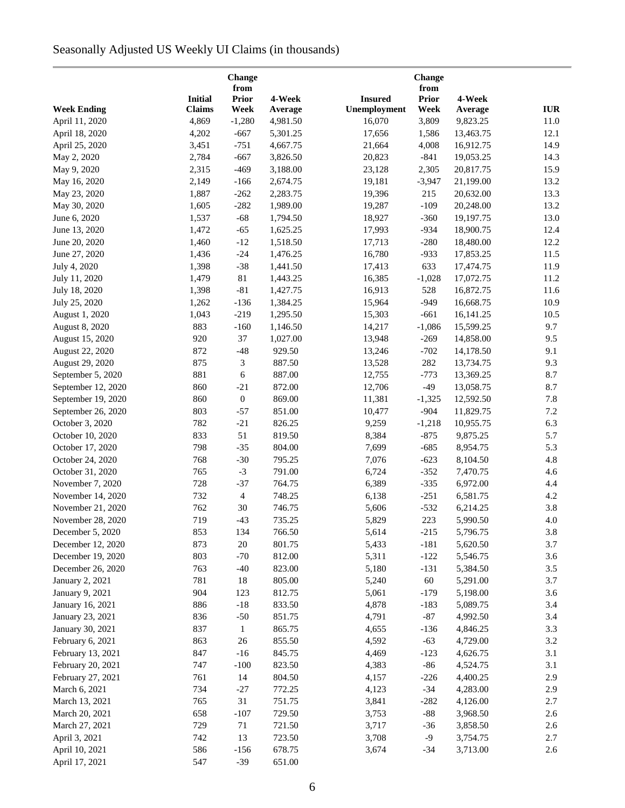# Seasonally Adjusted US Weekly UI Claims (in thousands)

|                    |                | <b>Change</b><br>from |          |                | Change<br>from |           |            |
|--------------------|----------------|-----------------------|----------|----------------|----------------|-----------|------------|
|                    | <b>Initial</b> | <b>Prior</b>          | 4-Week   | <b>Insured</b> | <b>Prior</b>   | 4-Week    |            |
| <b>Week Ending</b> | <b>Claims</b>  | Week                  | Average  | Unemployment   | Week           | Average   | <b>IUR</b> |
| April 11, 2020     | 4,869          | $-1,280$              | 4,981.50 | 16,070         | 3,809          | 9,823.25  | 11.0       |
| April 18, 2020     | 4,202          | $-667$                | 5,301.25 | 17,656         | 1,586          | 13,463.75 | 12.1       |
| April 25, 2020     | 3,451          | $-751$                | 4,667.75 | 21,664         | 4,008          | 16,912.75 | 14.9       |
| May 2, 2020        | 2,784          | $-667$                | 3,826.50 | 20,823         | $-841$         | 19,053.25 | 14.3       |
| May 9, 2020        | 2,315          | $-469$                | 3,188.00 | 23,128         | 2,305          | 20,817.75 | 15.9       |
| May 16, 2020       | 2,149          | $-166$                | 2,674.75 | 19,181         | $-3,947$       | 21,199.00 | 13.2       |
| May 23, 2020       | 1,887          | $-262$                | 2,283.75 | 19,396         | 215            | 20,632.00 | 13.3       |
| May 30, 2020       | 1,605          | $-282$                | 1,989.00 | 19,287         | $-109$         | 20,248.00 | 13.2       |
| June 6, 2020       | 1,537          | $-68$                 | 1,794.50 | 18,927         | $-360$         | 19,197.75 | 13.0       |
| June 13, 2020      | 1,472          | $-65$                 | 1,625.25 | 17,993         | $-934$         | 18,900.75 | 12.4       |
| June 20, 2020      | 1,460          | $-12$                 | 1,518.50 | 17,713         | $-280$         | 18,480.00 | 12.2       |
| June 27, 2020      | 1,436          | $-24$                 | 1,476.25 | 16,780         | $-933$         | 17,853.25 | 11.5       |
| July 4, 2020       | 1,398          | $-38$                 | 1,441.50 | 17,413         | 633            | 17,474.75 | 11.9       |
| July 11, 2020      | 1,479          | $81\,$                | 1,443.25 | 16,385         | $-1,028$       | 17,072.75 | 11.2       |
| July 18, 2020      | 1,398          | $-81$                 | 1,427.75 | 16,913         | 528            | 16,872.75 | 11.6       |
| July 25, 2020      | 1,262          | $-136$                | 1,384.25 | 15,964         | $-949$         | 16,668.75 | 10.9       |
| August 1, 2020     | 1,043          | $-219$                | 1,295.50 | 15,303         | $-661$         | 16,141.25 | 10.5       |
| August 8, 2020     | 883            | $-160$                | 1,146.50 | 14,217         | $-1,086$       | 15,599.25 | 9.7        |
| August 15, 2020    | 920            | 37                    | 1,027.00 | 13,948         | $-269$         | 14,858.00 | 9.5        |
| August 22, 2020    | 872            | $-48$                 | 929.50   | 13,246         | $-702$         | 14,178.50 | 9.1        |
| August 29, 2020    | 875            | 3                     | 887.50   | 13,528         | 282            | 13,734.75 | 9.3        |
| September 5, 2020  | 881            | 6                     | 887.00   | 12,755         | $-773$         | 13,369.25 | 8.7        |
| September 12, 2020 | 860            | $-21$                 | 872.00   | 12,706         | $-49$          | 13,058.75 | 8.7        |
| September 19, 2020 | 860            | $\boldsymbol{0}$      | 869.00   | 11,381         | $-1,325$       | 12,592.50 | 7.8        |
| September 26, 2020 | 803            | $-57$                 | 851.00   | 10,477         | $-904$         | 11,829.75 | 7.2        |
| October 3, 2020    | 782            | $-21$                 | 826.25   | 9,259          | $-1,218$       | 10,955.75 | 6.3        |
| October 10, 2020   | 833            | 51                    | 819.50   | 8,384          | $-875$         | 9,875.25  | 5.7        |
| October 17, 2020   | 798            | $-35$                 | 804.00   | 7,699          | $-685$         | 8,954.75  | 5.3        |
| October 24, 2020   | 768            | $-30$                 | 795.25   | 7,076          | $-623$         | 8,104.50  | 4.8        |
| October 31, 2020   | 765            | $-3$                  | 791.00   | 6,724          | $-352$         | 7,470.75  | 4.6        |
| November 7, 2020   | 728            | $-37$                 | 764.75   | 6,389          | $-335$         | 6,972.00  | 4.4        |
| November 14, 2020  | 732            | $\overline{4}$        | 748.25   | 6,138          | $-251$         | 6,581.75  | 4.2        |
| November 21, 2020  | 762            | 30                    | 746.75   | 5,606          | $-532$         | 6,214.25  | 3.8        |
| November 28, 2020  | 719            | $-43$                 | 735.25   | 5,829          | $223\,$        | 5,990.50  | 4.0        |
| December 5, 2020   | 853            | 134                   | 766.50   | 5,614          | $-215$         | 5,796.75  | 3.8        |
| December 12, 2020  | 873            | 20                    | 801.75   | 5,433          | $-181$         | 5,620.50  | 3.7        |
| December 19, 2020  | 803            | $-70$                 | 812.00   | 5,311          | $-122$         | 5,546.75  | 3.6        |
| December 26, 2020  | 763            | $-40$                 | 823.00   | 5,180          | $-131$         | 5,384.50  | 3.5        |
| January 2, 2021    | 781            | 18                    | 805.00   | 5,240          | 60             | 5,291.00  | 3.7        |
| January 9, 2021    | 904            | 123                   | 812.75   | 5,061          | $-179$         | 5,198.00  | 3.6        |
| January 16, 2021   | 886            | $-18$                 | 833.50   | 4,878          | $-183$         | 5,089.75  | 3.4        |
| January 23, 2021   | 836            | $-50$                 | 851.75   | 4,791          | $-87$          | 4,992.50  | 3.4        |
|                    | 837            | $\mathbf{1}$          | 865.75   |                |                |           | 3.3        |
| January 30, 2021   |                |                       |          | 4,655          | $-136$         | 4,846.25  |            |
| February 6, 2021   | 863            | 26                    | 855.50   | 4,592          | $-63$          | 4,729.00  | 3.2<br>3.1 |
| February 13, 2021  | 847            | $-16$                 | 845.75   | 4,469          | $-123$         | 4,626.75  |            |
| February 20, 2021  | 747            | $-100$                | 823.50   | 4,383          | $-86$          | 4,524.75  | 3.1        |
| February 27, 2021  | 761            | 14                    | 804.50   | 4,157          | $-226$         | 4,400.25  | 2.9        |
| March 6, 2021      | 734            | $-27$                 | 772.25   | 4,123          | $-34$          | 4,283.00  | 2.9        |
| March 13, 2021     | 765            | 31                    | 751.75   | 3,841          | $-282$         | 4,126.00  | 2.7        |
| March 20, 2021     | 658            | $-107$                | 729.50   | 3,753          | $-88$          | 3,968.50  | 2.6        |
| March 27, 2021     | 729            | 71                    | 721.50   | 3,717          | $-36$          | 3,858.50  | 2.6        |
| April 3, 2021      | 742            | 13                    | 723.50   | 3,708          | $-9$           | 3,754.75  | 2.7        |
| April 10, 2021     | 586            | $-156$                | 678.75   | 3,674          | $-34$          | 3,713.00  | 2.6        |
| April 17, 2021     | 547            | $-39$                 | 651.00   |                |                |           |            |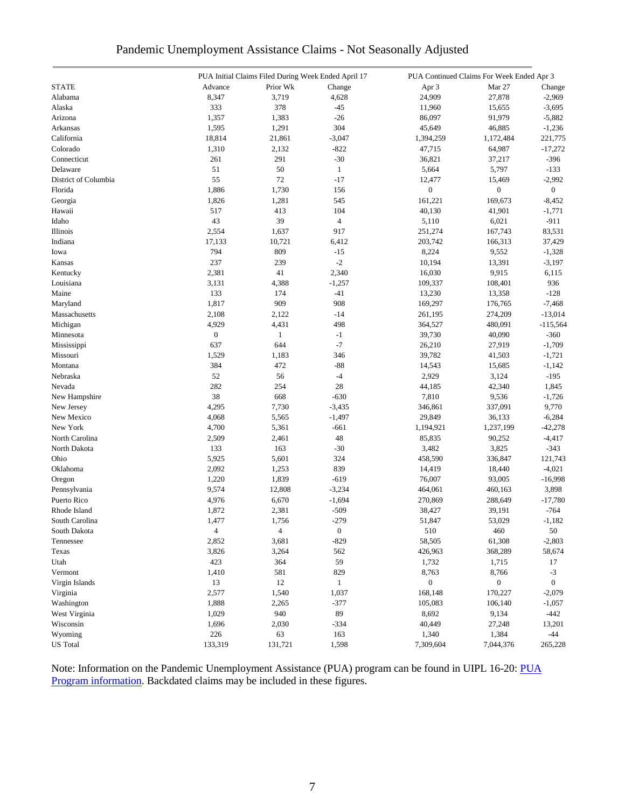| Pandemic Unemployment Assistance Claims - Not Seasonally Adjusted |  |
|-------------------------------------------------------------------|--|
|-------------------------------------------------------------------|--|

|                      |                  | PUA Initial Claims Filed During Week Ended April 17 |                  |                  | PUA Continued Claims For Week Ended Apr 3 |                  |
|----------------------|------------------|-----------------------------------------------------|------------------|------------------|-------------------------------------------|------------------|
| <b>STATE</b>         | Advance          | Prior Wk                                            | Change           | Apr 3            | Mar 27                                    | Change           |
| Alabama              | 8,347            | 3,719                                               | 4,628            | 24,909           | 27,878                                    | $-2,969$         |
| Alaska               | 333              | 378                                                 | $-45$            | 11,960           | 15,655                                    | $-3,695$         |
| Arizona              | 1,357            | 1,383                                               | $-26$            | 86,097           | 91,979                                    | $-5,882$         |
| Arkansas             | 1,595            | 1,291                                               | 304              | 45,649           | 46,885                                    | $-1,236$         |
| California           | 18,814           | 21,861                                              | $-3,047$         | 1,394,259        | 1,172,484                                 | 221,775          |
| Colorado             | 1,310            | 2,132                                               | $-822$           | 47,715           | 64,987                                    | $-17,272$        |
| Connecticut          | 261              | 291                                                 | $-30$            | 36,821           | 37,217                                    | $-396$           |
| Delaware             | 51               | 50                                                  | $\mathbf{1}$     | 5,664            | 5,797                                     | $-133$           |
| District of Columbia | 55               | 72                                                  | $-17$            | 12,477           | 15,469                                    | $-2,992$         |
| Florida              | 1,886            | 1,730                                               | 156              | $\boldsymbol{0}$ | $\boldsymbol{0}$                          | $\overline{0}$   |
| Georgia              | 1,826            | 1,281                                               | 545              | 161,221          | 169,673                                   | $-8,452$         |
| Hawaii               | 517              | 413                                                 | 104              | 40,130           |                                           | $-1,771$         |
|                      | 43               | 39                                                  |                  |                  | 41,901                                    | $-911$           |
| Idaho                |                  |                                                     | 4                | 5,110            | 6,021                                     |                  |
| Illinois             | 2,554            | 1,637                                               | 917              | 251,274          | 167,743                                   | 83,531           |
| Indiana              | 17,133           | 10,721                                              | 6,412            | 203,742          | 166,313                                   | 37,429           |
| Iowa                 | 794              | 809                                                 | $-15$            | 8,224            | 9,552                                     | $-1,328$         |
| Kansas               | 237              | 239                                                 | $-2$             | 10,194           | 13,391                                    | $-3,197$         |
| Kentucky             | 2,381            | 41                                                  | 2,340            | 16,030           | 9,915                                     | 6,115            |
| Louisiana            | 3,131            | 4,388                                               | $-1,257$         | 109,337          | 108,401                                   | 936              |
| Maine                | 133              | 174                                                 | $-41$            | 13,230           | 13,358                                    | $-128$           |
| Maryland             | 1,817            | 909                                                 | 908              | 169,297          | 176,765                                   | $-7,468$         |
| Massachusetts        | 2,108            | 2,122                                               | $-14$            | 261,195          | 274,209                                   | $-13,014$        |
| Michigan             | 4,929            | 4,431                                               | 498              | 364,527          | 480,091                                   | $-115,564$       |
| Minnesota            | $\boldsymbol{0}$ | $\mathbf{1}$                                        | $-1$             | 39,730           | 40,090                                    | $-360$           |
| Mississippi          | 637              | 644                                                 | $-7$             | 26,210           | 27,919                                    | $-1,709$         |
| Missouri             | 1,529            | 1,183                                               | 346              | 39,782           | 41,503                                    | $-1,721$         |
| Montana              | 384              | 472                                                 | $-88$            | 14,543           | 15,685                                    | $-1,142$         |
| Nebraska             | 52               | 56                                                  | $-4$             | 2,929            | 3,124                                     | $-195$           |
| Nevada               | 282              | 254                                                 | 28               | 44,185           | 42,340                                    | 1,845            |
| New Hampshire        | 38               | 668                                                 | $-630$           | 7,810            | 9,536                                     | $-1,726$         |
| New Jersey           | 4,295            | 7,730                                               | $-3,435$         | 346,861          | 337,091                                   | 9,770            |
| New Mexico           | 4,068            | 5,565                                               | $-1,497$         | 29,849           | 36,133                                    | $-6,284$         |
| New York             | 4,700            | 5,361                                               | $-661$           | 1,194,921        | 1,237,199                                 | $-42,278$        |
| North Carolina       | 2,509            | 2,461                                               | 48               | 85,835           | 90,252                                    | $-4,417$         |
| North Dakota         | 133              | 163                                                 | $-30$            | 3,482            | 3,825                                     | $-343$           |
| Ohio                 | 5,925            | 5,601                                               | 324              | 458,590          | 336,847                                   | 121,743          |
| Oklahoma             | 2,092            | 1,253                                               | 839              | 14,419           | 18,440                                    | $-4,021$         |
| Oregon               | 1,220            | 1,839                                               | $-619$           | 76,007           | 93,005                                    | $-16,998$        |
| Pennsylvania         | 9,574            | 12,808                                              | $-3,234$         | 464,061          | 460,163                                   | 3,898            |
| Puerto Rico          | 4,976            | 6,670                                               | $-1,694$         | 270,869          | 288,649                                   | $-17,780$        |
| Rhode Island         | 1,872            | 2,381                                               | $-509$           | 38,427           | 39,191                                    | $-764$           |
|                      |                  |                                                     |                  |                  |                                           |                  |
| South Carolina       | 1,477            | 1,756                                               | $-279$           | 51,847           | 53,029                                    | $-1,182$<br>50   |
| South Dakota         | $\overline{4}$   | $\overline{4}$                                      | $\boldsymbol{0}$ | $510\,$          | 460                                       |                  |
| Tennessee            | 2,852            | 3,681                                               | $-829$           | 58,505           | 61,308                                    | $-2,803$         |
| Texas                | 3,826            | 3,264                                               | 562              | 426,963          | 368,289                                   | 58,674           |
| Utah                 | 423              | 364                                                 | 59               | 1,732            | 1,715                                     | 17               |
| Vermont              | 1,410            | 581                                                 | 829              | 8,763            | 8,766                                     | $-3$             |
| Virgin Islands       | 13               | 12                                                  | $\mathbf{1}$     | $\boldsymbol{0}$ | $\boldsymbol{0}$                          | $\boldsymbol{0}$ |
| Virginia             | 2,577            | 1,540                                               | 1,037            | 168,148          | 170,227                                   | $-2,079$         |
| Washington           | 1,888            | 2,265                                               | $-377$           | 105,083          | 106,140                                   | $-1,057$         |
| West Virginia        | 1,029            | 940                                                 | 89               | 8,692            | 9,134                                     | $-442$           |
| Wisconsin            | 1,696            | 2,030                                               | $-334$           | 40,449           | 27,248                                    | 13,201           |
| Wyoming              | 226              | 63                                                  | 163              | 1,340            | 1,384                                     | $-44$            |
| <b>US</b> Total      | 133,319          | 131,721                                             | 1,598            | 7,309,604        | 7,044,376                                 | 265,228          |

Note: Information on the Pandemic Unemployment Assistance (PUA) program can be found in UIPL 16-20: PUA [Program information.](https://wdr.doleta.gov/directives/corr_doc.cfm?DOCN=4628) Backdated claims may be included in these figures.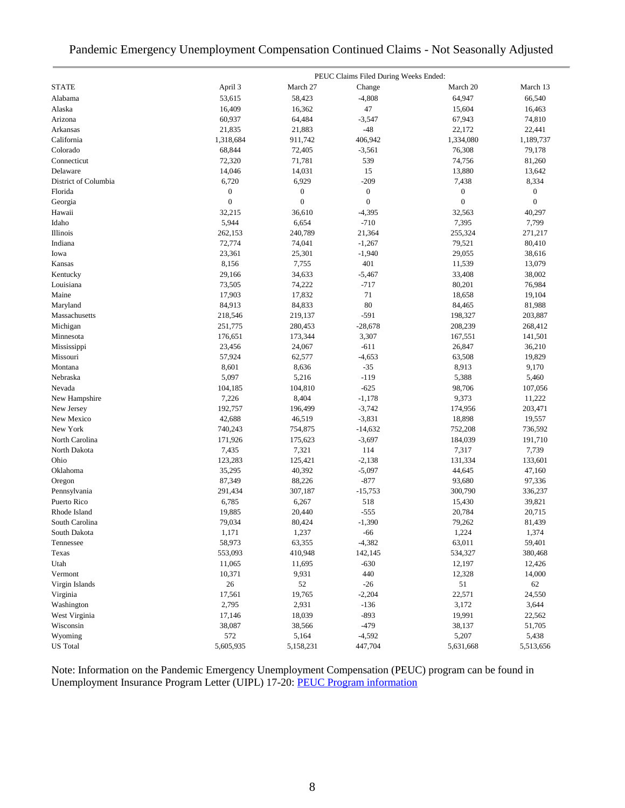## Pandemic Emergency Unemployment Compensation Continued Claims - Not Seasonally Adjusted

|                      |                  |                  | PEUC Claims Filed During Weeks Ended: |                  |                  |
|----------------------|------------------|------------------|---------------------------------------|------------------|------------------|
| <b>STATE</b>         | April 3          | March 27         | Change                                | March 20         | March 13         |
| Alabama              | 53,615           | 58,423           | $-4,808$                              | 64,947           | 66,540           |
| Alaska               | 16,409           | 16,362           | 47                                    | 15,604           | 16,463           |
| Arizona              | 60,937           | 64,484           | $-3,547$                              | 67,943           | 74,810           |
| Arkansas             | 21,835           | 21,883           | $-48$                                 | 22,172           | 22,441           |
| California           | 1,318,684        | 911,742          | 406,942                               | 1,334,080        | 1,189,737        |
| Colorado             | 68,844           | 72,405           | $-3,561$                              | 76,308           | 79,178           |
| Connecticut          | 72,320           | 71,781           | 539                                   | 74,756           | 81,260           |
| Delaware             | 14,046           | 14,031           | 15                                    | 13,880           | 13,642           |
| District of Columbia | 6,720            | 6,929            | $-209$                                | 7,438            | 8,334            |
| Florida              | $\boldsymbol{0}$ | $\boldsymbol{0}$ | $\boldsymbol{0}$                      | 0                | $\boldsymbol{0}$ |
| Georgia              | $\boldsymbol{0}$ | $\boldsymbol{0}$ | $\mathbf{0}$                          | $\boldsymbol{0}$ | $\overline{0}$   |
| Hawaii               | 32,215           | 36,610           | $-4,395$                              | 32,563           | 40,297           |
| Idaho                | 5,944            | 6,654            | $-710$                                | 7,395            | 7,799            |
| Illinois             | 262,153          | 240,789          | 21,364                                | 255,324          | 271,217          |
| Indiana              | 72,774           | 74,041           | $-1,267$                              | 79,521           | 80,410           |
| Iowa                 | 23,361           | 25,301           | $-1,940$                              | 29,055           | 38,616           |
| Kansas               | 8,156            | 7,755            | 401                                   | 11,539           | 13,079           |
| Kentucky             | 29,166           | 34,633           | $-5,467$                              | 33,408           | 38,002           |
| Louisiana            | 73,505           | 74,222           | $-717$                                | 80,201           | 76,984           |
| Maine                | 17,903           | 17,832           | 71                                    | 18,658           | 19,104           |
| Maryland             | 84,913           | 84,833           | 80                                    | 84,465           | 81,988           |
| Massachusetts        | 218,546          | 219,137          | $-591$                                | 198,327          | 203,887          |
| Michigan             | 251,775          | 280,453          | $-28,678$                             | 208,239          | 268,412          |
| Minnesota            | 176,651          | 173,344          | 3,307                                 | 167,551          | 141,501          |
| Mississippi          | 23,456           | 24,067           | $-611$                                | 26,847           | 36,210           |
| Missouri             | 57,924           | 62,577           | $-4,653$                              | 63,508           | 19,829           |
| Montana              | 8,601            | 8,636            | $-35$                                 | 8,913            | 9,170            |
| Nebraska             | 5,097            | 5,216            | $-119$                                | 5,388            | 5,460            |
| Nevada               | 104,185          | 104,810          | $-625$                                | 98,706           | 107,056          |
| New Hampshire        | 7,226            | 8,404            | $-1,178$                              | 9,373            | 11,222           |
| New Jersey           | 192,757          | 196,499          | $-3,742$                              | 174,956          | 203,471          |
| New Mexico           | 42,688           | 46,519           | $-3,831$                              | 18,898           | 19,557           |
| New York             | 740,243          | 754,875          | $-14,632$                             | 752,208          | 736,592          |
| North Carolina       | 171,926          | 175,623          | $-3,697$                              | 184,039          | 191,710          |
| North Dakota         | 7,435            | 7,321            | 114                                   | 7,317            | 7,739            |
| Ohio                 | 123,283          | 125,421          | $-2,138$                              | 131,334          | 133,601          |
| Oklahoma             | 35,295           | 40,392           | $-5,097$                              |                  |                  |
| Oregon               | 87,349           | 88,226           | $-877$                                | 44,645<br>93,680 | 47,160<br>97,336 |
| Pennsylvania         | 291,434          | 307,187          | $-15,753$                             | 300,790          | 336,237          |
| Puerto Rico          | 6,785            | 6,267            | 518                                   |                  | 39,821           |
| Rhode Island         | 19,885           | 20,440           | $-555$                                | 15,430<br>20,784 | 20,715           |
| South Carolina       | 79,034           | 80,424           | $-1,390$                              |                  |                  |
| South Dakota         | 1,171            | 1,237            | $-66$                                 | 79,262<br>1,224  | 81,439<br>1,374  |
|                      |                  |                  |                                       |                  |                  |
| Tennessee            | 58,973           | 63,355           | $-4,382$                              | 63,011           | 59,401           |
| Texas                | 553,093          | 410,948          | 142,145                               | 534,327          | 380,468          |
| Utah                 | 11,065           | 11,695           | $-630$                                | 12,197           | 12,426           |
| Vermont              | 10,371           | 9,931            | 440                                   | 12,328           | 14,000           |
| Virgin Islands       | 26               | 52               | $-26$                                 | 51               | 62               |
| Virginia             | 17,561           | 19,765           | $-2,204$                              | 22,571           | 24,550           |
| Washington           | 2,795            | 2,931            | $-136$                                | 3,172            | 3,644            |
| West Virginia        | 17,146           | 18,039           | $-893$                                | 19,991           | 22,562           |
| Wisconsin            | 38,087           | 38,566           | $-479$                                | 38,137           | 51,705           |
| Wyoming              | 572              | 5,164            | $-4,592$                              | 5,207            | 5,438            |
| <b>US</b> Total      | 5,605,935        | 5,158,231        | 447,704                               | 5,631,668        | 5,513,656        |

Note: Information on the Pandemic Emergency Unemployment Compensation (PEUC) program can be found in Unemployment Insurance Program Letter (UIPL) 17-20: [PEUC Program information](https://wdr.doleta.gov/directives/corr_doc.cfm?DOCN=8452)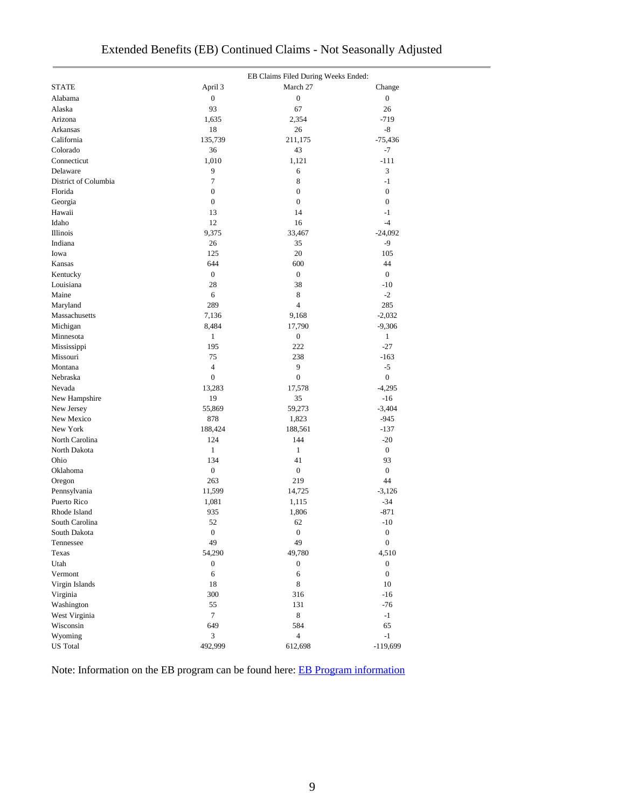|                                |                        | EB Claims Filed During Weeks Ended: |                                      |
|--------------------------------|------------------------|-------------------------------------|--------------------------------------|
| <b>STATE</b>                   | April 3                | March 27                            | Change                               |
| Alabama                        | $\boldsymbol{0}$       | $\boldsymbol{0}$                    | $\boldsymbol{0}$                     |
| Alaska                         | 93                     | 67                                  | 26                                   |
| Arizona                        | 1,635                  | 2,354                               | $-719$                               |
| Arkansas                       | 18                     | 26                                  | -8                                   |
| California                     | 135,739                | 211,175                             | $-75,436$                            |
| Colorado                       | 36                     | 43                                  | $-7$                                 |
| Connecticut                    | 1,010                  | 1,121                               | $-111$                               |
| Delaware                       | 9                      | 6                                   | 3                                    |
| District of Columbia           | 7                      | 8                                   | $-1$                                 |
| Florida                        | $\boldsymbol{0}$       | $\boldsymbol{0}$                    | $\boldsymbol{0}$                     |
| Georgia                        | $\boldsymbol{0}$       | $\overline{0}$                      | $\boldsymbol{0}$                     |
| Hawaii                         | 13                     | 14                                  | -1                                   |
| Idaho                          | 12                     | 16                                  | $-4$                                 |
| Illinois                       | 9,375                  | 33,467                              | $-24,092$                            |
| Indiana                        | 26                     | 35                                  | $-9$                                 |
| Iowa                           | 125                    | 20                                  | 105                                  |
| Kansas                         | 644                    | 600                                 | 44                                   |
| Kentucky                       | $\overline{0}$         | $\boldsymbol{0}$                    | $\boldsymbol{0}$                     |
| Louisiana                      | 28                     | 38                                  | $-10$                                |
| Maine                          | 6                      | 8                                   | $-2$                                 |
| Maryland                       | 289                    | $\overline{4}$                      | 285                                  |
| Massachusetts                  | 7,136                  | 9,168                               | $-2,032$                             |
| Michigan                       | 8,484                  | 17,790                              | $-9,306$                             |
| Minnesota                      | $\mathbf{1}$           | $\boldsymbol{0}$                    | $\mathbf{1}$                         |
| Mississippi                    | 195                    | 222                                 | $-27$                                |
| Missouri                       | 75                     | 238                                 | $-163$                               |
| Montana                        | $\overline{4}$         | 9                                   | $-5$                                 |
| Nebraska                       | $\boldsymbol{0}$       | $\boldsymbol{0}$                    | $\boldsymbol{0}$                     |
| Nevada                         | 13,283                 | 17,578                              | $-4,295$                             |
| New Hampshire                  | 19                     | 35                                  | $-16$                                |
| New Jersey                     | 55,869                 | 59,273                              | $-3,404$                             |
| New Mexico                     | 878                    | 1,823                               | $-945$                               |
| New York                       | 188,424                | 188,561                             | $-137$                               |
| North Carolina                 | 124                    | 144                                 | $-20$                                |
| North Dakota                   | $\mathbf{1}$           | $\mathbf{1}$                        | $\boldsymbol{0}$                     |
| Ohio                           | 134                    | 41                                  | 93                                   |
| Oklahoma                       | $\boldsymbol{0}$       | $\boldsymbol{0}$                    | $\boldsymbol{0}$                     |
| Oregon                         | 263                    | 219                                 | 44                                   |
| Pennsylvania                   | 11,599                 | 14,725                              | $-3,126$                             |
| Puerto Rico                    | 1,081                  | 1,115                               | $-34$                                |
| Rhode Island                   | 935                    | 1,806                               | $-871$                               |
| South Carolina<br>South Dakota | 52<br>$\boldsymbol{0}$ | 62<br>$\boldsymbol{0}$              | $-10$                                |
| Tennessee                      | 49                     | 49                                  | $\boldsymbol{0}$<br>$\boldsymbol{0}$ |
| Texas                          | 54,290                 | 49,780                              | 4,510                                |
| Utah                           | $\boldsymbol{0}$       | $\boldsymbol{0}$                    | $\boldsymbol{0}$                     |
| Vermont                        | 6                      | 6                                   | $\mathbf{0}$                         |
| Virgin Islands                 | 18                     | 8                                   | 10                                   |
| Virginia                       | 300                    | 316                                 | $-16$                                |
| Washington                     | 55                     | 131                                 | $-76$                                |
| West Virginia                  | $\tau$                 | 8                                   | $-1$                                 |
| Wisconsin                      | 649                    | 584                                 | 65                                   |
| Wyoming                        | 3                      | $\overline{4}$                      | $-1$                                 |
| <b>US</b> Total                | 492,999                | 612,698                             | $-119,699$                           |

Note: Information on the EB program can be found here: [EB Program information](https://oui.doleta.gov/unemploy/extenben.asp)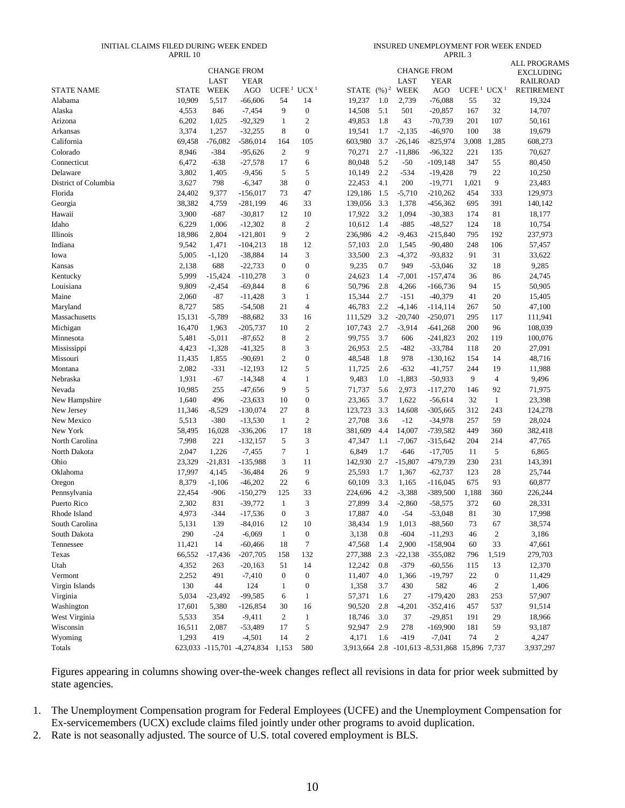#### INITIAL CLAIMS FILED DURING WEEK ENDED APRIL 10

INSURED UNEMPLOYMENT FOR WEEK ENDED APRIL 3

|                      |              | <b>LAST</b> | <b>CHANGE FROM</b><br><b>YEAR</b> |                   |                  |                         |     | LAST      | <b>CHANGE FROM</b><br>YEAR                     |                   |                  | <b>ALL PROGRAMS</b><br><b>EXCLUDING</b><br><b>RAILROAD</b> |
|----------------------|--------------|-------------|-----------------------------------|-------------------|------------------|-------------------------|-----|-----------|------------------------------------------------|-------------------|------------------|------------------------------------------------------------|
| <b>STATE NAME</b>    | <b>STATE</b> | WEEK        | AGO                               | UCFE <sup>1</sup> | UCX <sup>1</sup> | STATE $(\frac{9}{6})^2$ |     | WEEK      | AGO                                            | UCFE <sup>1</sup> | UCX <sup>1</sup> | <b>RETIREMENT</b>                                          |
| Alabama              | 10,909       | 5,517       | $-66,606$                         | 54                | 14               | 19,237                  | 1.0 | 2,739     | $-76,088$                                      | 55                | 32               | 19,324                                                     |
| Alaska               | 4,553        | 846         | $-7,454$                          | 9                 | $\boldsymbol{0}$ | 14,508                  | 5.1 | 501       | $-20,857$                                      | 167               | 32               | 14,707                                                     |
| Arizona              | 6,202        | 1,025       | $-92,329$                         | 1                 | $\mathfrak{2}$   | 49,853                  | 1.8 | 43        | $-70,739$                                      | 201               | 107              | 50,161                                                     |
| Arkansas             | 3,374        | 1,257       | $-32,255$                         | 8                 | $\boldsymbol{0}$ | 19,541                  | 1.7 | $-2,135$  | $-46,970$                                      | 100               | 38               | 19,679                                                     |
| California           | 69,458       | $-76,082$   | $-586,014$                        | 164               | 105              | 603,980                 | 3.7 | $-26,146$ | $-825,974$                                     | 3,008             | 1,285            | 608,273                                                    |
| Colorado             | 8,946        | $-384$      | $-95,626$                         | $\mathfrak{2}$    | 9                | 70,271                  | 2.7 | $-11,886$ | $-96,322$                                      | 221               | 135              | 70,627                                                     |
| Connecticut          | 6,472        | $-638$      | $-27,578$                         | 17                | 6                | 80,048                  | 5.2 | $-50$     | -109,148                                       | 347               | 55               | 80,450                                                     |
| Delaware             | 3,802        | 1,405       | $-9,456$                          | 5                 | 5                | 10,149                  | 2.2 | $-534$    | $-19,428$                                      | 79                | 22               | 10,250                                                     |
| District of Columbia | 3,627        | 798         | $-6,347$                          | 38                | $\boldsymbol{0}$ | 22,453                  | 4.1 | 200       | $-19,771$                                      | 1,021             | 9                | 23,483                                                     |
| Florida              | 24,402       | 9,377       | $-156,017$                        | 73                | 47               | 129,186                 | 1.5 | $-5,710$  | $-210,262$                                     | 454               | 333              | 129,973                                                    |
| Georgia              | 38,382       | 4,759       | $-281,199$                        | 46                | 33               | 139,056                 | 3.3 | 1,378     | $-456,362$                                     | 695               | 391              | 140,142                                                    |
| Hawaii               | 3,900        | $-687$      | $-30,817$                         | 12                | 10               | 17,922                  | 3.2 | 1,094     | $-30,383$                                      | 174               | 81               | 18,177                                                     |
| Idaho                | 6,229        | 1,006       | $-12,302$                         | 8                 | $\mathfrak{2}$   | 10,612                  | 1.4 | $-885$    | $-48,527$                                      | 124               | 18               | 10,754                                                     |
| Illinois             | 18,986       | 2,804       | $-121,801$                        | 9                 | $\sqrt{2}$       | 236,986                 | 4.2 | $-9,463$  | $-215,840$                                     | 795               | 192              | 237,973                                                    |
| Indiana              | 9,542        | 1,471       | $-104,213$                        | 18                | 12               | 57,103                  | 2.0 | 1,545     | $-90,480$                                      | 248               | 106              | 57,457                                                     |
| Iowa                 | 5,005        | $-1,120$    | $-38,884$                         | 14                | 3                | 33,500                  | 2.3 | $-4,372$  | -93,832                                        | 91                | 31               | 33,622                                                     |
| Kansas               | 2,138        | 688         | $-22,733$                         | $\boldsymbol{0}$  | $\boldsymbol{0}$ | 9,235                   | 0.7 | 949       | $-53,046$                                      | 32                | 18               | 9,285                                                      |
| Kentucky             | 5,999        | $-15,424$   | $-110,278$                        | 3                 | $\boldsymbol{0}$ | 24,623                  | 1.4 | $-7,001$  | $-157,474$                                     | 36                | 86               | 24,745                                                     |
| Louisiana            | 9,809        | $-2,454$    | $-69,844$                         | 8                 | 6                | 50,796                  | 2.8 | 4,266     | $-166,736$                                     | 94                | 15               | 50,905                                                     |
| Maine                | 2,060        | $-87$       | $-11,428$                         | 3                 | $\mathbf{1}$     | 15,344                  | 2.7 | $-151$    | $-40,379$                                      | 41                | 20               | 15,405                                                     |
| Maryland             | 8,727        | 585         | $-54,508$                         | 21                | $\overline{4}$   | 46,783                  | 2.2 | $-4,146$  | $-114, 114$                                    | 267               | 50               | 47,100                                                     |
| Massachusetts        | 15,131       | $-5,789$    | $-88,682$                         | 33                | 16               | 111,529                 | 3.2 | $-20,740$ | $-250,071$                                     | 295               | 117              | 111,941                                                    |
| Michigan             | 16,470       | 1,963       | $-205,737$                        | 10                | $\mathfrak{2}$   | 107,743                 | 2.7 | $-3,914$  | $-641,268$                                     | 200               | 96               | 108,039                                                    |
| Minnesota            | 5,481        | $-5,011$    | $-87,652$                         | 8                 | $\mathfrak{2}$   | 99,755                  | 3.7 | 606       | $-241,823$                                     | 202               | 119              | 100,076                                                    |
| Mississippi          | 4,423        | $-1,328$    | $-41,325$                         | 8                 | 3                | 26,953                  | 2.5 | $-482$    | $-33,784$                                      | 118               | 20               | 27,091                                                     |
| Missouri             | 11,435       | 1,855       | $-90,691$                         | $\boldsymbol{2}$  | $\boldsymbol{0}$ | 48,548                  | 1.8 | 978       | -130,162                                       | 154               | 14               | 48,716                                                     |
| Montana              | 2,082        | $-331$      | $-12,193$                         | 12                | 5                | 11,725                  | 2.6 | $-632$    | $-41,757$                                      | 244               | 19               | 11,988                                                     |
| Nebraska             | 1,931        | $-67$       | $-14,348$                         | $\overline{4}$    | $\mathbf{1}$     | 9,483                   | 1.0 | $-1,883$  | $-50,933$                                      | 9                 | $\overline{4}$   | 9,496                                                      |
| Nevada               | 10,985       | 255         | $-47,656$                         | 9                 | 5                | 71,737                  | 5.6 | 2,973     | $-117,270$                                     | 146               | 92               | 71,975                                                     |
| New Hampshire        | 1,640        | 496         | $-23,633$                         | 10                | $\boldsymbol{0}$ | 23,365                  | 3.7 | 1,622     | $-56,614$                                      | 32                | $\mathbf{1}$     | 23,398                                                     |
| New Jersey           | 11,346       | $-8,529$    | $-130,074$                        | 27                | 8                | 123,723                 | 3.3 | 14,608    | $-305,665$                                     | 312               | 243              | 124,278                                                    |
| New Mexico           | 5,513        | $-380$      | $-13,530$                         | 1                 | $\mathfrak{2}$   | 27,708                  | 3.6 | $-12$     | $-34,978$                                      | 257               | 59               | 28,024                                                     |
| New York             | 58,495       | 16,028      | $-336,206$                        | 17                | 18               | 381,609                 | 4.4 | 14,007    | $-739,582$                                     | 449               | 360              | 382,418                                                    |
| North Carolina       | 7,998        | 221         | $-132,157$                        | 5                 | 3                | 47,347                  | 1.1 | $-7,067$  | $-315,642$                                     | 204               | 214              | 47,765                                                     |
| North Dakota         | 2,047        | 1,226       | $-7,455$                          | 7                 | $\mathbf{1}$     | 6,849                   | 1.7 | $-646$    | $-17,705$                                      | 11                | 5                | 6,865                                                      |
| Ohio                 | 23,329       | $-21,831$   | $-135,988$                        | 3                 | 11               | 142,930                 | 2.7 | $-15,807$ | -479,739                                       | 230               | 231              | 143,391                                                    |
| Oklahoma             | 17,997       | 4,145       | $-36,484$                         | 26                | 9                | 25,593                  | 1.7 | 1,367     | $-62,737$                                      | 123               | 28               | 25,744                                                     |
| Oregon               | 8,379        | $-1,106$    | $-46,202$                         | 22                | 6                | 60,109                  | 3.3 | 1,165     | $-116,045$                                     | 675               | 93               | 60,877                                                     |
| Pennsylvania         | 22,454       | $-906$      | $-150,279$                        | 125               | 33               | 224,696                 | 4.2 | $-3,388$  | $-389,500$                                     | 1,188             | 360              | 226,244                                                    |
| Puerto Rico          | 2,302        | 831         | $-39,772$                         | 1                 | 3                | 27,899                  | 3.4 | $-2,860$  | $-58,575$                                      | 372               | 60               | 28,331                                                     |
| Rhode Island         | 4,973        | $-344$      | $-17,536$                         | $\Omega$          | 3                | 17,887                  | 4.0 | $-54$     | $-53,048$                                      | 81                | 30               | 17,998                                                     |
| South Carolina       | 5,131        | 139         | $-84,016$                         | 12                | 10               | 38,434                  | 1.9 | 1,013     | $-88,560$                                      | 73                | 67               | 38,574                                                     |
| South Dakota         | 290          | $-24$       | $-6,069$                          | $\mathbf{1}$      | $\boldsymbol{0}$ | 3,138                   | 0.8 | $-604$    | $-11,293$                                      | 46                | $\sqrt{2}$       | 3,186                                                      |
| Tennessee            | 11,421       | 14          | $-60,466$                         | 18                | $\tau$           | 47,568                  | 1.4 | 2,900     | $-158,904$                                     | 60                | 33               | 47,661                                                     |
| Texas                | 66,552       | -17,436     | $-207,705$                        | 158               | 132              | 277,388                 | 2.3 | $-22,138$ | $-355,082$                                     | 796               | 1,519            | 279,703                                                    |
| Utah                 | 4,352        | 263         | $-20,163$                         | 51                | 14               | 12,242                  | 0.8 | $-379$    | $-60,556$                                      | 115               | 13               | 12,370                                                     |
| Vermont              | 2,252        | 491         | $-7,410$                          | $\boldsymbol{0}$  | $\boldsymbol{0}$ | 11,407                  | 4.0 | 1,366     | $-19,797$                                      | 22                | $\boldsymbol{0}$ | 11,429                                                     |
| Virgin Islands       | 130          | 44          | 124                               | 1                 | $\boldsymbol{0}$ | 1,358                   | 3.7 | 430       | 582                                            | 46                | $\sqrt{2}$       | 1,406                                                      |
| Virginia             | 5,034        | $-23,492$   | $-99,585$                         | 6                 | $\mathbf{1}$     | 57,371                  | 1.6 | 27        | $-179,420$                                     | 283               | 253              | 57,907                                                     |
| Washington           | 17,601       | 5,380       | $-126,854$                        | 30                | 16               | 90,520                  | 2.8 | $-4,201$  | $-352,416$                                     | 457               | 537              | 91,514                                                     |
| West Virginia        | 5,533        | 354         | $-9,411$                          | $\boldsymbol{2}$  | $\mathbf{1}$     | 18,746                  | 3.0 | 37        | $-29,851$                                      | 191               | 29               | 18,966                                                     |
| Wisconsin            | 16,511       | 2,087       | $-53,489$                         | 17                | $\mathfrak s$    | 92,947                  | 2.9 | 278       | $-169,900$                                     | 181               | 59               | 93,187                                                     |
| Wyoming              | 1,293        | 419         | $-4,501$                          | 14                | $\boldsymbol{2}$ | 4,171                   | 1.6 | $-419$    | $-7,041$                                       | 74                | $\boldsymbol{2}$ | 4,247                                                      |
| Totals               |              |             | 623,033 -115,701 -4,274,834 1,153 |                   | 580              |                         |     |           | 3,913,664 2.8 -101,613 -8,531,868 15,896 7,737 |                   |                  | 3,937,297                                                  |

Figures appearing in columns showing over-the-week changes reflect all revisions in data for prior week submitted by state agencies.

1. The Unemployment Compensation program for Federal Employees (UCFE) and the Unemployment Compensation for Ex-servicemembers (UCX) exclude claims filed jointly under other programs to avoid duplication.

2. Rate is not seasonally adjusted. The source of U.S. total covered employment is BLS.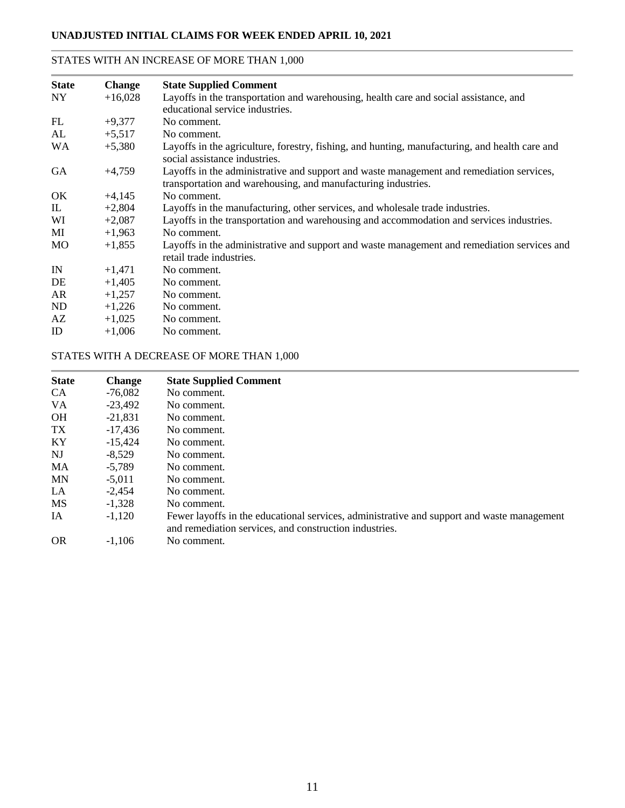### STATES WITH AN INCREASE OF MORE THAN 1,000

| <b>State</b> | <b>Change</b> | <b>State Supplied Comment</b>                                                                                                                             |
|--------------|---------------|-----------------------------------------------------------------------------------------------------------------------------------------------------------|
| NY.          | $+16,028$     | Layoffs in the transportation and warehousing, health care and social assistance, and<br>educational service industries.                                  |
| FL           | $+9,377$      | No comment.                                                                                                                                               |
| AL           | $+5,517$      | No comment.                                                                                                                                               |
| <b>WA</b>    | $+5,380$      | Layoffs in the agriculture, forestry, fishing, and hunting, manufacturing, and health care and<br>social assistance industries.                           |
| <b>GA</b>    | $+4,759$      | Layoffs in the administrative and support and waste management and remediation services,<br>transportation and warehousing, and manufacturing industries. |
| OK           | $+4,145$      | No comment.                                                                                                                                               |
| IL           | $+2,804$      | Layoffs in the manufacturing, other services, and wholesale trade industries.                                                                             |
| WI           | $+2,087$      | Layoffs in the transportation and warehousing and accommodation and services industries.                                                                  |
| MI           | $+1,963$      | No comment.                                                                                                                                               |
| MO           | $+1,855$      | Layoffs in the administrative and support and waste management and remediation services and<br>retail trade industries.                                   |
| IN           | $+1,471$      | No comment.                                                                                                                                               |
| DE           | $+1,405$      | No comment.                                                                                                                                               |
| AR           | $+1,257$      | No comment.                                                                                                                                               |
| ND           | $+1,226$      | No comment.                                                                                                                                               |
| AZ           | $+1,025$      | No comment.                                                                                                                                               |
| ID           | $+1.006$      | No comment.                                                                                                                                               |
|              |               |                                                                                                                                                           |

### STATES WITH A DECREASE OF MORE THAN 1,000

| <b>State</b> | <b>Change</b> | <b>State Supplied Comment</b>                                                                                                                        |
|--------------|---------------|------------------------------------------------------------------------------------------------------------------------------------------------------|
| <b>CA</b>    | $-76.082$     | No comment.                                                                                                                                          |
| <b>VA</b>    | $-23,492$     | No comment.                                                                                                                                          |
| <b>OH</b>    | $-21.831$     | No comment.                                                                                                                                          |
| TX           | $-17,436$     | No comment.                                                                                                                                          |
| KY           | $-15.424$     | No comment.                                                                                                                                          |
| NJ           | $-8.529$      | No comment.                                                                                                                                          |
| <b>MA</b>    | $-5.789$      | No comment.                                                                                                                                          |
| <b>MN</b>    | $-5.011$      | No comment.                                                                                                                                          |
| LA           | $-2.454$      | No comment.                                                                                                                                          |
| <b>MS</b>    | $-1.328$      | No comment.                                                                                                                                          |
| IA           | $-1.120$      | Fewer layoffs in the educational services, administrative and support and waste management<br>and remediation services, and construction industries. |
| <b>OR</b>    | $-1.106$      | No comment.                                                                                                                                          |